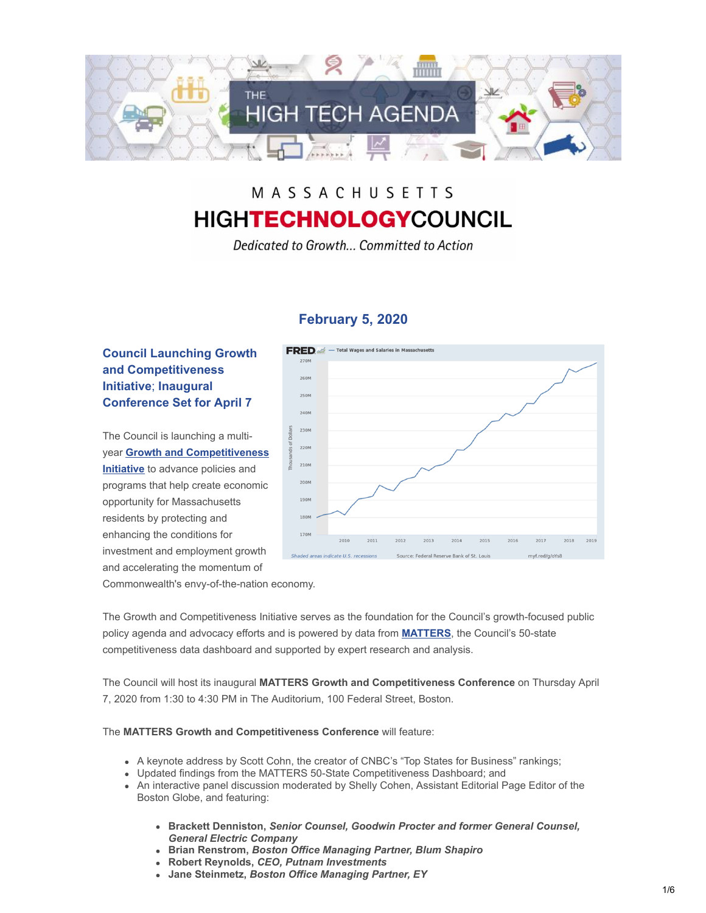

# MASSACHUSETTS **HIGHTECHNOLOGYCOUNCIL**

Dedicated to Growth... Committed to Action

## **February 5, 2020**

## **Council Launching Growth and Competitiveness Initiative**; **Inaugural Conference Set for April 7**

The Council is launching a multiyear **[Growth and Competitiveness](http://www.mhtc.org/advocacy/growth-and-competitiveness-initiative/) Initiative** to advance policies and programs that help create economic opportunity for Massachusetts residents by protecting and enhancing the conditions for investment and employment growth and accelerating the momentum of



Commonwealth's envy-of-the-nation economy.

The Growth and Competitiveness Initiative serves as the foundation for the Council's growth-focused public policy agenda and advocacy efforts and is powered by data from **[MATTERS](http://matters.mhtc.org/)**, the Council's 50-state competitiveness data dashboard and supported by expert research and analysis.

The Council will host its inaugural **MATTERS Growth and Competitiveness Conference** on Thursday April 7, 2020 from 1:30 to 4:30 PM in The Auditorium, 100 Federal Street, Boston.

## The **MATTERS Growth and Competitiveness Conference** will feature:

- A keynote address by Scott Cohn, the creator of CNBC's "Top States for Business" rankings;
- Updated findings from the MATTERS 50-State Competitiveness Dashboard; and
- An interactive panel discussion moderated by Shelly Cohen, Assistant Editorial Page Editor of the Boston Globe, and featuring:
	- **Brackett Denniston,** *Senior Counsel, Goodwin Procter and former General Counsel, General Electric Company*
	- **Brian Renstrom,** *Boston Office Managing Partner, Blum Shapiro*
	- **Robert Reynolds,** *CEO, Putnam Investments*
	- **Jane Steinmetz,** *Boston Office Managing Partner, EY*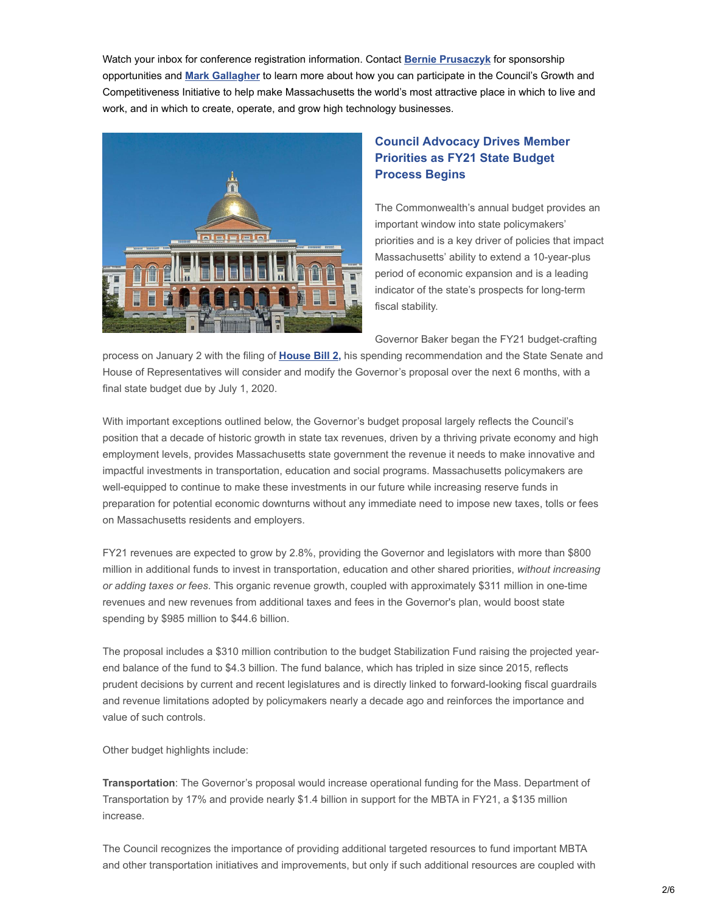Watch your inbox for conference registration information. Contact **[Bernie Prusaczyk](mailto:bernie@mhtc.org)** for sponsorship opportunities and **[Mark Gallagher](mailto:mark@mhtc.org)** to learn more about how you can participate in the Council's Growth and Competitiveness Initiative to help make Massachusetts the world's most attractive place in which to live and work, and in which to create, operate, and grow high technology businesses.



## **Council Advocacy Drives Member Priorities as FY21 State Budget Process Begins**

The Commonwealth's annual budget provides an important window into state policymakers' priorities and is a key driver of policies that impact Massachusetts' ability to extend a 10-year-plus period of economic expansion and is a leading indicator of the state's prospects for long-term fiscal stability.

Governor Baker began the FY21 budget-crafting

process on January 2 with the filing of **[House Bill 2,](https://budget.digital.mass.gov/govbudget/fy21/)** his spending recommendation and the State Senate and House of Representatives will consider and modify the Governor's proposal over the next 6 months, with a final state budget due by July 1, 2020.

With important exceptions outlined below, the Governor's budget proposal largely reflects the Council's position that a decade of historic growth in state tax revenues, driven by a thriving private economy and high employment levels, provides Massachusetts state government the revenue it needs to make innovative and impactful investments in transportation, education and social programs. Massachusetts policymakers are well-equipped to continue to make these investments in our future while increasing reserve funds in preparation for potential economic downturns without any immediate need to impose new taxes, tolls or fees on Massachusetts residents and employers.

FY21 revenues are expected to grow by 2.8%, providing the Governor and legislators with more than \$800 million in additional funds to invest in transportation, education and other shared priorities, *without increasing or adding taxes or fees*. This organic revenue growth, coupled with approximately \$311 million in one-time revenues and new revenues from additional taxes and fees in the Governor's plan, would boost state spending by \$985 million to \$44.6 billion.

The proposal includes a \$310 million contribution to the budget Stabilization Fund raising the projected yearend balance of the fund to \$4.3 billion. The fund balance, which has tripled in size since 2015, reflects prudent decisions by current and recent legislatures and is directly linked to forward-looking fiscal guardrails and revenue limitations adopted by policymakers nearly a decade ago and reinforces the importance and value of such controls.

Other budget highlights include:

**Transportation**: The Governor's proposal would increase operational funding for the Mass. Department of Transportation by 17% and provide nearly \$1.4 billion in support for the MBTA in FY21, a \$135 million increase.

The Council recognizes the importance of providing additional targeted resources to fund important MBTA and other transportation initiatives and improvements, but only if such additional resources are coupled with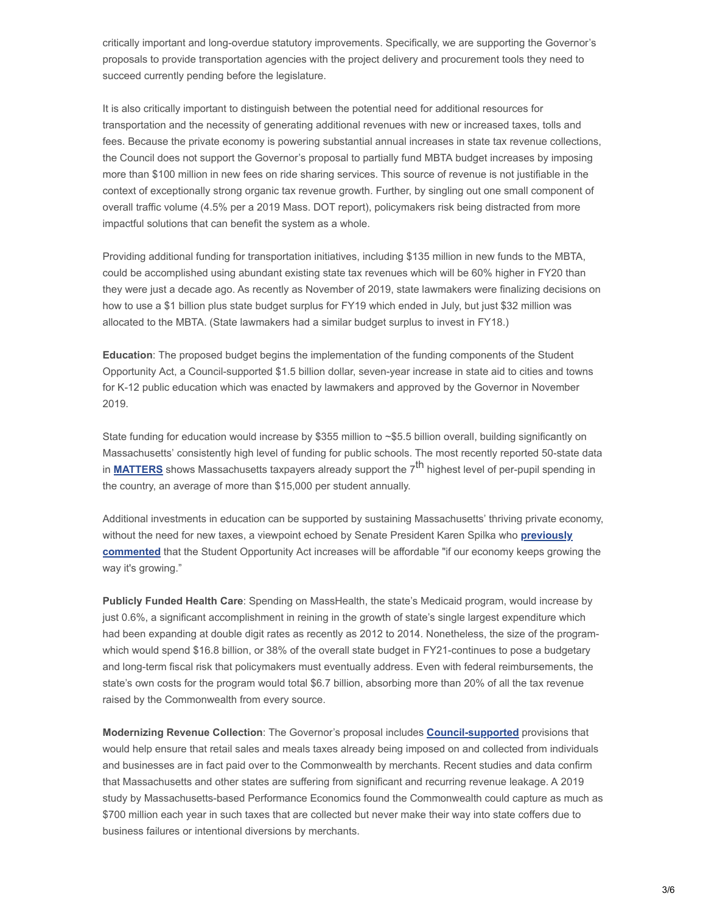critically important and long-overdue statutory improvements. Specifically, we are supporting the Governor's proposals to provide transportation agencies with the project delivery and procurement tools they need to succeed currently pending before the legislature.

It is also critically important to distinguish between the potential need for additional resources for transportation and the necessity of generating additional revenues with new or increased taxes, tolls and fees. Because the private economy is powering substantial annual increases in state tax revenue collections, the Council does not support the Governor's proposal to partially fund MBTA budget increases by imposing more than \$100 million in new fees on ride sharing services. This source of revenue is not justifiable in the context of exceptionally strong organic tax revenue growth. Further, by singling out one small component of overall traffic volume (4.5% per a 2019 Mass. DOT report), policymakers risk being distracted from more impactful solutions that can benefit the system as a whole.

Providing additional funding for transportation initiatives, including \$135 million in new funds to the MBTA, could be accomplished using abundant existing state tax revenues which will be 60% higher in FY20 than they were just a decade ago. As recently as November of 2019, state lawmakers were finalizing decisions on how to use a \$1 billion plus state budget surplus for FY19 which ended in July, but just \$32 million was allocated to the MBTA. (State lawmakers had a similar budget surplus to invest in FY18.)

**Education**: The proposed budget begins the implementation of the funding components of the Student Opportunity Act, a Council-supported \$1.5 billion dollar, seven-year increase in state aid to cities and towns for K-12 public education which was enacted by lawmakers and approved by the Governor in November 2019.

State funding for education would increase by \$355 million to ~\$5.5 billion overall, building significantly on Massachusetts' consistently high level of funding for public schools. The most recently reported 50-state data in **[MATTERS](http://matters.mhtc.org/explore?metrics=1027&userMetrics=&states=51,1,2,3,4,5,6,7,8,9,10,11,12,13,14,15,16,17,18,19,20,21,22,23,24,25,26,27,28,29,30,31,32,33,34,35,36,37,38,39,40,41,42,43,44,45,46,47,48,49,50&visualization=3&specificMetric=1027&year=2016)** shows Massachusetts taxpayers already support the 7<sup>th</sup> highest level of per-pupil spending in the country, an average of more than \$15,000 per student annually.

Additional investments in education can be supported by sustaining Massachusetts' thriving private economy, [without the need for new taxes, a viewpoint echoed by Senate President Karen Spilka who](http://www.mhtc.org/wp-content/uploads/2019/09/SHNS-9.26.19-Board-Material-1.pdf) **previously commented** that the Student Opportunity Act increases will be affordable "if our economy keeps growing the way it's growing."

**Publicly Funded Health Care**: Spending on MassHealth, the state's Medicaid program, would increase by just 0.6%, a significant accomplishment in reining in the growth of state's single largest expenditure which had been expanding at double digit rates as recently as 2012 to 2014. Nonetheless, the size of the programwhich would spend \$16.8 billion, or 38% of the overall state budget in FY21-continues to pose a budgetary and long-term fiscal risk that policymakers must eventually address. Even with federal reimbursements, the state's own costs for the program would total \$6.7 billion, absorbing more than 20% of all the tax revenue raised by the Commonwealth from every source.

**Modernizing Revenue Collection**: The Governor's proposal includes **[Council-supported](http://www.mhtc.org/wp-content/uploads/2020/01/Governor-Baker-MHTC-ASTR-Support-Letter-12.9.19-1.30.20.pdf)** provisions that would help ensure that retail sales and meals taxes already being imposed on and collected from individuals and businesses are in fact paid over to the Commonwealth by merchants. Recent studies and data confirm that Massachusetts and other states are suffering from significant and recurring revenue leakage. A 2019 study by Massachusetts-based Performance Economics found the Commonwealth could capture as much as \$700 million each year in such taxes that are collected but never make their way into state coffers due to business failures or intentional diversions by merchants.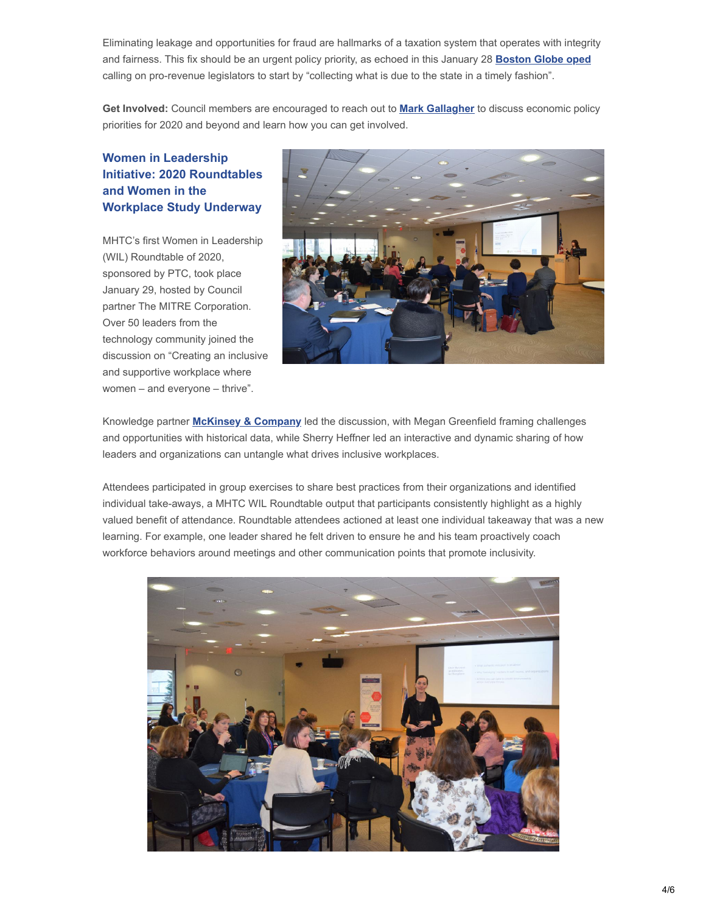Eliminating leakage and opportunities for fraud are hallmarks of a taxation system that operates with integrity and fairness. This fix should be an urgent policy priority, as echoed in this January 28 **[Boston Globe oped](http://www.mhtc.org/wp-content/uploads/2020/01/Boston-Globe-Article-1.29.20.pdf)** calling on pro-revenue legislators to start by "collecting what is due to the state in a timely fashion".

**Get Involved:** Council members are encouraged to reach out to **[Mark Gallagher](mailto:mark@mhtc.org)** to discuss economic policy priorities for 2020 and beyond and learn how you can get involved.

## **Women in Leadership Initiative: 2020 Roundtables and Women in the Workplace Study Underway**

MHTC's first Women in Leadership (WIL) Roundtable of 2020, sponsored by PTC, took place January 29, hosted by Council partner The MITRE Corporation. Over 50 leaders from the technology community joined the discussion on "Creating an inclusive and supportive workplace where women – and everyone – thrive".



Knowledge partner **[McKinsey & Company](http://mckinsey%20%26%20company/)** led the discussion, with Megan Greenfield framing challenges and opportunities with historical data, while Sherry Heffner led an interactive and dynamic sharing of how leaders and organizations can untangle what drives inclusive workplaces.

Attendees participated in group exercises to share best practices from their organizations and identified individual take-aways, a MHTC WIL Roundtable output that participants consistently highlight as a highly valued benefit of attendance. Roundtable attendees actioned at least one individual takeaway that was a new learning. For example, one leader shared he felt driven to ensure he and his team proactively coach workforce behaviors around meetings and other communication points that promote inclusivity.

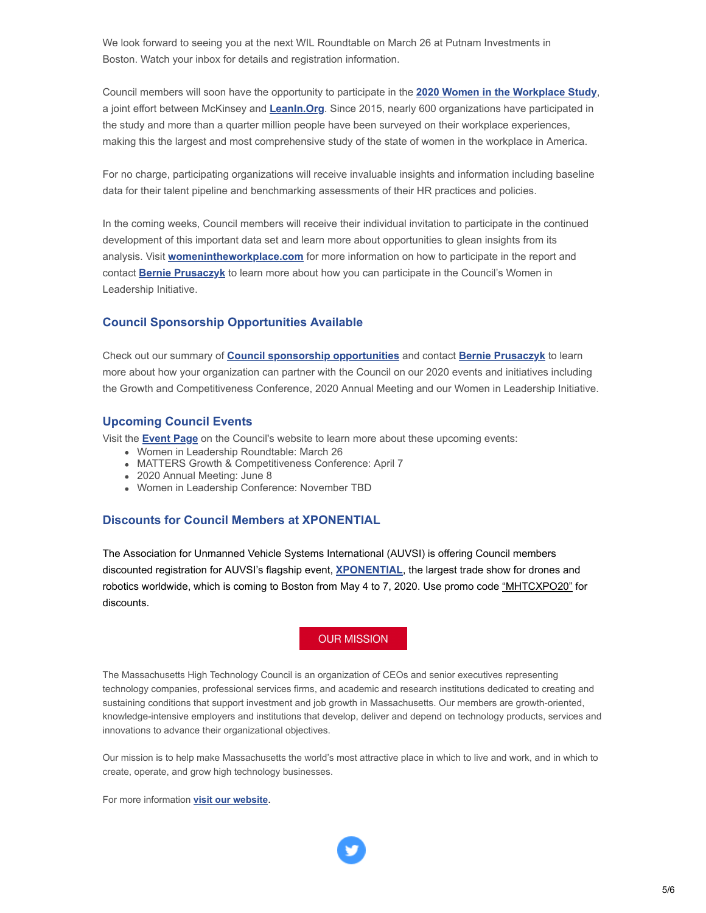We look forward to seeing you at the next WIL Roundtable on March 26 at Putnam Investments in Boston. Watch your inbox for details and registration information.

Council members will soon have the opportunity to participate in the **[2020 Women in the Workplace Study](https://womenintheworkplace.com/)**, a joint effort between McKinsey and **[LeanIn.Org](https://leanin.org/)**. Since 2015, nearly 600 organizations have participated in the study and more than a quarter million people have been surveyed on their workplace experiences, making this the largest and most comprehensive study of the state of women in the workplace in America.

For no charge, participating organizations will receive invaluable insights and information including baseline data for their talent pipeline and benchmarking assessments of their HR practices and policies.

In the coming weeks, Council members will receive their individual invitation to participate in the continued development of this important data set and learn more about opportunities to glean insights from its analysis. Visit **[womenintheworkplace.com](https://womenintheworkplace.com/)** for more information on how to participate in the report and contact **[Bernie Prusaczyk](mailto:bernie@mhtc.org)** to learn more about how you can participate in the Council's Women in Leadership Initiative.

### **Council Sponsorship Opportunities Available**

Check out our summary of **[Council sponsorship opportunities](http://www.mhtc.org/wp-content/uploads/2020/02/sponsor-plan-2020-1.15.20-draft.pdf)** and contact **[Bernie Prusaczyk](mailto:bernie@mhtc.org)** to learn more about how your organization can partner with the Council on our 2020 events and initiatives including the Growth and Competitiveness Conference, 2020 Annual Meeting and our Women in Leadership Initiative.

#### **Upcoming Council Events**

Visit the **[Event Page](http://www.mhtc.org/events/)** on the Council's website to learn more about these upcoming events:

- Women in Leadership Roundtable: March 26
- MATTERS Growth & Competitiveness Conference: April 7
- 2020 Annual Meeting: June 8
- Women in Leadership Conference: November TBD

#### **Discounts for Council Members at XPONENTIAL**

The Association for Unmanned Vehicle Systems International (AUVSI) is offering Council members discounted registration for AUVSI's flagship event, **[XPONENTIAL](http://www.xponential.org/)**, the largest trade show for drones and robotics worldwide, which is coming to Boston from May 4 to 7, 2020. Use promo code "MHTCXPO20" for discounts.

#### **OUR MISSION**

The Massachusetts High Technology Council is an organization of CEOs and senior executives representing technology companies, professional services firms, and academic and research institutions dedicated to creating and sustaining conditions that support investment and job growth in Massachusetts. Our members are growth-oriented, knowledge-intensive employers and institutions that develop, deliver and depend on technology products, services and innovations to advance their organizational objectives.

Our mission is to help make Massachusetts the world's most attractive place in which to live and work, and in which to create, operate, and grow high technology businesses.

For more information **[visit our website](http://www.mhtc.org/)**.